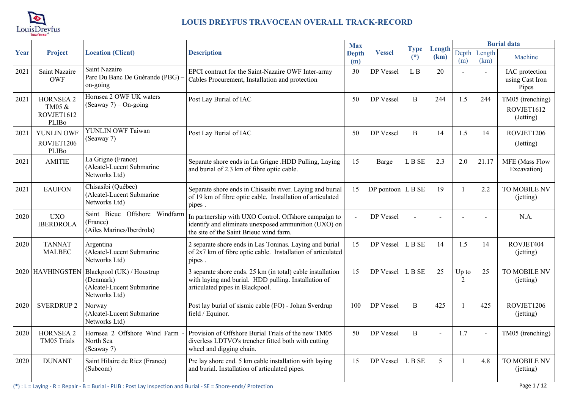

|      |                                                          |                                                                                      |                                                                                                                                                          | <b>Max</b>          |                   |                      |                |                |                      | <b>Burial data</b>                          |
|------|----------------------------------------------------------|--------------------------------------------------------------------------------------|----------------------------------------------------------------------------------------------------------------------------------------------------------|---------------------|-------------------|----------------------|----------------|----------------|----------------------|---------------------------------------------|
| Year | Project                                                  | <b>Location (Client)</b>                                                             | <b>Description</b>                                                                                                                                       | <b>Depth</b><br>(m) | <b>Vessel</b>     | <b>Type</b><br>$(*)$ | Length<br>(km) | (m)            | Depth Length<br>(km) | Machine                                     |
| 2021 | Saint Nazaire<br><b>OWF</b>                              | <b>Saint Nazaire</b><br>Parc Du Banc De Guérande (PBG)<br>on-going                   | EPCI contract for the Saint-Nazaire OWF Inter-array<br>Cables Procurement, Installation and protection                                                   | 30                  | DP Vessel         | L B                  | 20             |                |                      | IAC protection<br>using Cast Iron<br>Pipes  |
| 2021 | <b>HORNSEA 2</b><br>TM05 &<br>ROVJET1612<br><b>PLIBo</b> | Hornsea 2 OWF UK waters<br>$(Seaway 7) – On-going$                                   | Post Lay Burial of IAC                                                                                                                                   | 50                  | DP Vessel         | $\mathbf{B}$         | 244            | 1.5            | 244                  | TM05 (trenching)<br>ROVJET1612<br>(Jetting) |
| 2021 | YUNLIN OWF<br>ROVJET1206<br>PLIBo                        | YUNLIN OWF Taiwan<br>(Seaway 7)                                                      | Post Lay Burial of IAC                                                                                                                                   | 50                  | DP Vessel         | B                    | 14             | 1.5            | 14                   | ROVJET1206<br>(Jetting)                     |
| 2021 | <b>AMITIE</b>                                            | La Grigne (France)<br>(Alcatel-Lucent Submarine<br>Networks Ltd)                     | Separate shore ends in La Grigne .HDD Pulling, Laying<br>and burial of 2.3 km of fibre optic cable.                                                      | 15                  | Barge             | L B SE               | 2.3            | 2.0            | 21.17                | MFE (Mass Flow<br>Excavation)               |
| 2021 | <b>EAUFON</b>                                            | Chisasibi (Québec)<br>(Alcatel-Lucent Submarine<br>Networks Ltd)                     | Separate shore ends in Chisasibi river. Laying and burial<br>of 19 km of fibre optic cable. Installation of articulated<br>pipes.                        | 15                  | DP pontoon L B SE |                      | 19             | $\overline{1}$ | 2.2                  | TO MOBILE NV<br>(jetting)                   |
| 2020 | <b>UXO</b><br><b>IBERDROLA</b>                           | Saint Bieuc Offshore Windfarm<br>(France)<br>(Ailes Marines/Iberdrola)               | In partnership with UXO Control. Offshore campaign to<br>identify and eliminate unexposed ammunition (UXO) on<br>the site of the Saint Brieuc wind farm. |                     | DP Vessel         |                      |                |                |                      | N.A.                                        |
| 2020 | <b>TANNAT</b><br><b>MALBEC</b>                           | Argentina<br>(Alcatel-Lucent Submarine<br>Networks Ltd)                              | 2 separate shore ends in Las Toninas. Laying and burial<br>of 2x7 km of fibre optic cable. Installation of articulated<br>pipes.                         | 15                  | DP Vessel         | L B SE               | 14             | 1.5            | 14                   | ROVJET404<br>(jetting)                      |
|      | 2020 HAVHINGSTEN                                         | Blackpool (UK) / Houstrup<br>(Denmark)<br>(Alcatel-Lucent Submarine<br>Networks Ltd) | 3 separate shore ends. 25 km (in total) cable installation<br>with laying and burial. HDD pulling. Installation of<br>articulated pipes in Blackpool.    | 15                  | DP Vessel         | L B SE               | 25             | $Up$ to<br>2   | 25                   | TO MOBILE NV<br>(jetting)                   |
| 2020 | <b>SVERDRUP 2</b>                                        | Norway<br>(Alcatel-Lucent Submarine<br>Networks Ltd)                                 | Post lay burial of sismic cable (FO) - Johan Sverdrup<br>field / Equinor.                                                                                | 100                 | DP Vessel         | B                    | 425            |                | 425                  | ROVJET1206<br>(jetting)                     |
| 2020 | <b>HORNSEA 2</b><br>TM05 Trials                          | Hornsea 2 Offshore Wind Farm<br>North Sea<br>(Seaway 7)                              | Provision of Offshore Burial Trials of the new TM05<br>diverless LDTVO's trencher fitted both with cutting<br>wheel and digging chain.                   | 50                  | DP Vessel         | B                    |                | 1.7            |                      | TM05 (trenching)                            |
| 2020 | <b>DUNANT</b>                                            | Saint Hilaire de Riez (France)<br>(Subcom)                                           | Pre lay shore end. 5 km cable installation with laying<br>and burial. Installation of articulated pipes.                                                 | 15                  | DP Vessel         | L B SE               | 5              | $\mathbf{1}$   | 4.8                  | TO MOBILE NV<br>(jetting)                   |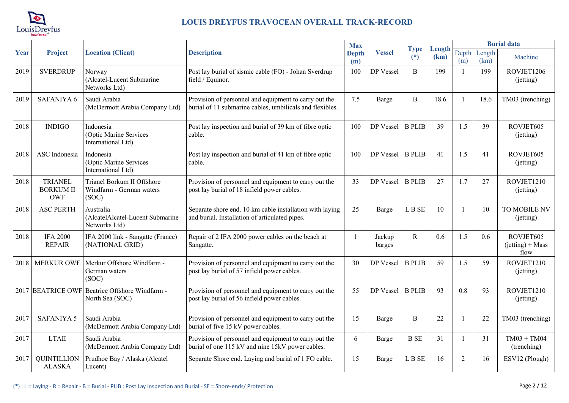

|      |                                                  |                                                                 |                                                                                                                   | <b>Max</b>          |                  |                      |                |                |                | <b>Burial data</b>                      |
|------|--------------------------------------------------|-----------------------------------------------------------------|-------------------------------------------------------------------------------------------------------------------|---------------------|------------------|----------------------|----------------|----------------|----------------|-----------------------------------------|
| Year | Project                                          | <b>Location (Client)</b>                                        | <b>Description</b>                                                                                                | <b>Depth</b><br>(m) | <b>Vessel</b>    | <b>Type</b><br>$(*)$ | Length<br>(km) | Depth<br>(m)   | Length<br>(km) | Machine                                 |
| 2019 | <b>SVERDRUP</b>                                  | Norway<br>(Alcatel-Lucent Submarine<br>Networks Ltd)            | Post lay burial of sismic cable (FO) - Johan Sverdrup<br>field / Equinor.                                         | 100                 | DP Vessel        | $\overline{B}$       | 199            | $\overline{1}$ | 199            | ROVJET1206<br>(jetting)                 |
| 2019 | SAFANIYA 6                                       | Saudi Arabia<br>(McDermott Arabia Company Ltd)                  | Provision of personnel and equipment to carry out the<br>burial of 11 submarine cables, umbilicals and flexibles. | 7.5                 | Barge            | $\overline{B}$       | 18.6           |                | 18.6           | TM03 (trenching)                        |
| 2018 | <b>INDIGO</b>                                    | Indonesia<br>(Optic Marine Services<br>International Ltd)       | Post lay inspection and burial of 39 km of fibre optic<br>cable.                                                  | 100                 | DP Vessel        | <b>B PLIB</b>        | 39             | 1.5            | 39             | ROVJET605<br>(jetting)                  |
| 2018 | ASC Indonesia                                    | Indonesia<br>(Optic Marine Services<br>International Ltd)       | Post lay inspection and burial of 41 km of fibre optic<br>cable.                                                  | 100                 | DP Vessel        | <b>B</b> PLIB        | 41             | 1.5            | 41             | ROVJET605<br>(jetting)                  |
| 2018 | <b>TRIANEL</b><br><b>BORKUM II</b><br><b>OWF</b> | Trianel Borkum II Offshore<br>Windfarm - German waters<br>(SOC) | Provision of personnel and equipment to carry out the<br>post lay burial of 18 infield power cables.              | 33                  | DP Vessel        | <b>B</b> PLIB        | 27             | 1.7            | 27             | ROVJET1210<br>(jetting)                 |
| 2018 | <b>ASC PERTH</b>                                 | Australia<br>(AlcatelAlcatel-Lucent Submarine<br>Networks Ltd)  | Separate shore end. 10 km cable installation with laying<br>and burial. Installation of articulated pipes.        | 25                  | <b>Barge</b>     | L B SE               | 10             | $\mathbf{1}$   | 10             | TO MOBILE NV<br>(jetting)               |
| 2018 | <b>IFA 2000</b><br><b>REPAIR</b>                 | IFA 2000 link - Sangatte (France)<br>(NATIONAL GRID)            | Repair of 2 IFA 2000 power cables on the beach at<br>Sangatte.                                                    |                     | Jackup<br>barges | R                    | 0.6            | 1.5            | 0.6            | ROVJET605<br>$(jetting) + Mass$<br>flow |
| 2018 | <b>MERKUR OWF</b>                                | Merkur Offshore Windfarm -<br>German waters<br>(SOC)            | Provision of personnel and equipment to carry out the<br>post lay burial of 57 infield power cables.              | 30                  | DP Vessel        | <b>B PLIB</b>        | 59             | 1.5            | 59             | ROVJET1210<br>(jetting)                 |
| 2017 |                                                  | BEATRICE OWF Beatrice Offshore Windfarm -<br>North Sea (SOC)    | Provision of personnel and equipment to carry out the<br>post lay burial of 56 infield power cables.              | 55                  | DP Vessel        | <b>B PLIB</b>        | 93             | 0.8            | 93             | ROVJET1210<br>(jetting)                 |
| 2017 | <b>SAFANIYA 5</b>                                | Saudi Arabia<br>(McDermott Arabia Company Ltd)                  | Provision of personnel and equipment to carry out the<br>burial of five 15 kV power cables.                       | 15                  | Barge            | B                    | 22             | $\mathbf{1}$   | 22             | TM03 (trenching)                        |
| 2017 | <b>LTAII</b>                                     | Saudi Arabia<br>(McDermott Arabia Company Ltd)                  | Provision of personnel and equipment to carry out the<br>burial of one 115 kV and nine 15kV power cables.         | 6                   | Barge            | <b>B</b> SE          | 31             |                | 31             | $TM03 + TM04$<br>(trenching)            |
| 2017 | <b>QUINTILLION</b><br><b>ALASKA</b>              | Prudhoe Bay / Alaska (Alcatel<br>Lucent)                        | Separate Shore end. Laying and burial of 1 FO cable.                                                              | 15                  | Barge            | L B SE               | 16             | $\overline{2}$ | 16             | ESV12 (Plough)                          |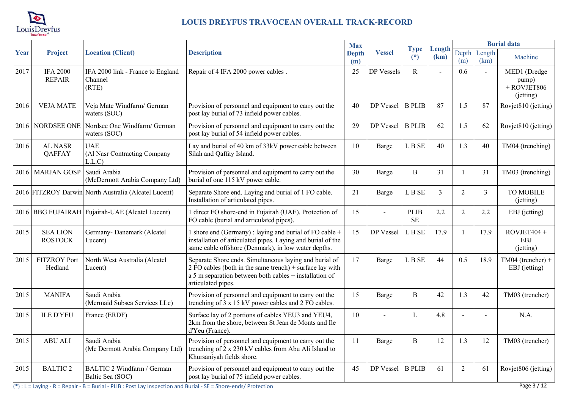

|      |                                   |                                                       |                                                                                                                                                                                                      | <b>Max</b>          |                |                          |                |                |                | <b>Burial data</b>                                  |
|------|-----------------------------------|-------------------------------------------------------|------------------------------------------------------------------------------------------------------------------------------------------------------------------------------------------------------|---------------------|----------------|--------------------------|----------------|----------------|----------------|-----------------------------------------------------|
| Year | Project                           | <b>Location (Client)</b>                              | <b>Description</b>                                                                                                                                                                                   | <b>Depth</b><br>(m) | <b>Vessel</b>  | <b>Type</b><br>$(*)$     | Length<br>(km) | Depth<br>(m)   | Length<br>(km) | Machine                                             |
| 2017 | <b>IFA 2000</b><br><b>REPAIR</b>  | IFA 2000 link - France to England<br>Channel<br>(RTE) | Repair of 4 IFA 2000 power cables.                                                                                                                                                                   | 25                  | DP Vessels     | $\mathbb{R}$             |                | 0.6            |                | MED1 (Dredge<br>pump)<br>$+$ ROVJET806<br>(jetting) |
| 2016 | <b>VEJA MATE</b>                  | Veja Mate Windfarm/ German<br>waters (SOC)            | Provision of personnel and equipment to carry out the<br>post lay burial of 73 infield power cables.                                                                                                 | 40                  | DP Vessel      | <b>B</b> PLIB            | 87             | 1.5            | 87             | Rovjet810 (jetting)                                 |
| 2016 | NORDSEE ONE                       | Nordsee One Windfarm/ German<br>waters (SOC)          | Provision of personnel and equipment to carry out the<br>post lay burial of 54 infield power cables.                                                                                                 | 29                  | DP Vessel      | <b>B</b> PLIB            | 62             | 1.5            | 62             | Rovjet810 (jetting)                                 |
| 2016 | AL NASR<br><b>QAFFAY</b>          | <b>UAE</b><br>(Al Nasr Contracting Company<br>L.L.C   | Lay and burial of 40 km of 33kV power cable between<br>Silah and Qaffay Island.                                                                                                                      | 10                  | Barge          | L B SE                   | 40             | 1.3            | 40             | TM04 (trenching)                                    |
| 2016 | <b>MARJAN GOSP</b>                | Saudi Arabia<br>(McDermott Arabia Company Ltd)        | Provision of personnel and equipment to carry out the<br>burial of one 115 kV power cable.                                                                                                           | 30                  | Barge          | $\, {\bf B}$             | 31             | $\overline{1}$ | 31             | TM03 (trenching)                                    |
|      |                                   | 2016 FITZROY Darwin North Australia (Alcatel Lucent)  | Separate Shore end. Laying and burial of 1 FO cable.<br>Installation of articulated pipes.                                                                                                           | 21                  | Barge          | L B SE                   | $\overline{3}$ | $\overline{2}$ | 3              | <b>TO MOBILE</b><br>(jetting)                       |
|      |                                   | 2016 BBG FUJAIRAH Fujairah-UAE (Alcatel Lucent)       | 1 direct FO shore-end in Fujairah (UAE). Protection of<br>FO cable (burial and articulated pipes).                                                                                                   | 15                  | $\overline{a}$ | <b>PLIB</b><br><b>SE</b> | 2.2            | $\overline{2}$ | 2.2            | EBJ (jetting)                                       |
| 2015 | <b>SEA LION</b><br><b>ROSTOCK</b> | Germany-Danemark (Alcatel<br>Lucent)                  | 1 shore end (Germany) : laying and burial of FO cable +<br>installation of articulated pipes. Laying and burial of the<br>same cable offshore (Denmark), in low water depths.                        | 15                  | DP Vessel      | L B SE                   | 17.9           | $\overline{1}$ | 17.9           | $ROVJET404 +$<br><b>EBJ</b><br>(jetting)            |
| 2015 | <b>FITZROY Port</b><br>Hedland    | North West Australia (Alcatel<br>Lucent)              | Separate Shore ends. Simultaneous laying and burial of<br>2 FO cables (both in the same trench) $+$ surface lay with<br>a 5 m separation between both cables + installation of<br>articulated pipes. | 17                  | Barge          | L B SE                   | 44             | 0.5            | 18.9           | TM04 (trencher) +<br>EBJ (jetting)                  |
| 2015 | <b>MANIFA</b>                     | Saudi Arabia<br>(Mermaid Subsea Services LLc)         | Provision of personnel and equipment to carry out the<br>trenching of 3 x 15 kV power cables and 2 FO cables.                                                                                        | 15                  | Barge          | $\overline{B}$           | 42             | 1.3            | 42             | TM03 (trencher)                                     |
| 2015 | <b>ILE D'YEU</b>                  | France (ERDF)                                         | Surface lay of 2 portions of cables YEU3 and YEU4,<br>2km from the shore, between St Jean de Monts and Ile<br>d'Yeu (France).                                                                        | 10                  |                | L                        | 4.8            |                |                | N.A.                                                |
| 2015 | <b>ABU ALI</b>                    | Saudi Arabia<br>(Mc Dermott Arabia Company Ltd)       | Provision of personnel and equipment to carry out the<br>trenching of 2 x 230 kV cables from Abu Ali Island to<br>Khursaniyah fields shore.                                                          | 11                  | Barge          | $\overline{B}$           | 12             | 1.3            | 12             | TM03 (trencher)                                     |
| 2015 | <b>BALTIC 2</b>                   | BALTIC 2 Windfarm / German<br>Baltic Sea (SOC)        | Provision of personnel and equipment to carry out the<br>post lay burial of 75 infield power cables.                                                                                                 | 45                  | DP Vessel      | <b>B PLIB</b>            | 61             | 2              | 61             | Rovjet806 (jetting)                                 |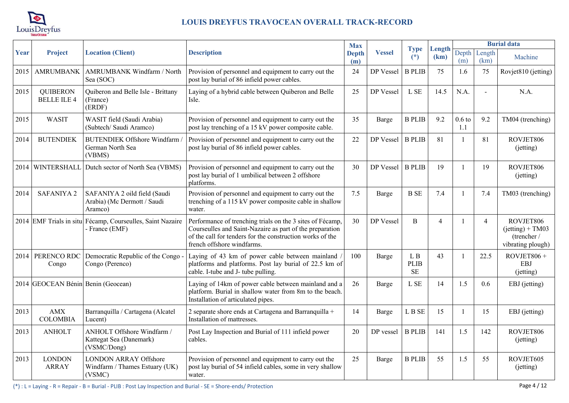

|      |                                       |                                                                              |                                                                                                                                                                                                                  | <b>Max</b>          |               |                                 |                |                 |                | <b>Burial data</b>                                                  |
|------|---------------------------------------|------------------------------------------------------------------------------|------------------------------------------------------------------------------------------------------------------------------------------------------------------------------------------------------------------|---------------------|---------------|---------------------------------|----------------|-----------------|----------------|---------------------------------------------------------------------|
| Year | Project                               | <b>Location (Client)</b>                                                     | <b>Description</b>                                                                                                                                                                                               | <b>Depth</b><br>(m) | <b>Vessel</b> | <b>Type</b><br>$(*)$            | Length<br>(km) | Depth<br>(m)    | Length<br>(km) | Machine                                                             |
| 2015 | <b>AMRUMBANK</b>                      | AMRUMBANK Windfarm / North<br>Sea (SOC)                                      | Provision of personnel and equipment to carry out the<br>post lay burial of 86 infield power cables.                                                                                                             | 24                  | DP Vessel     | <b>B PLIB</b>                   | 75             | 1.6             | 75             | Rovjet810 (jetting)                                                 |
| 2015 | <b>QUIBERON</b><br><b>BELLE ILE 4</b> | Quiberon and Belle Isle - Brittany<br>(France)<br>(ERDF)                     | Laying of a hybrid cable between Quiberon and Belle<br>Isle.                                                                                                                                                     | 25                  | DP Vessel     | L SE                            | 14.5           | N.A.            | $\overline{a}$ | N.A.                                                                |
| 2015 | <b>WASIT</b>                          | WASIT field (Saudi Arabia)<br>(Subtech/ Saudi Aramco)                        | Provision of personnel and equipment to carry out the<br>post lay trenching of a 15 kV power composite cable.                                                                                                    | 35                  | Barge         | <b>B PLIB</b>                   | 9.2            | $0.6$ to<br>1.1 | 9.2            | TM04 (trenching)                                                    |
| 2014 | <b>BUTENDIEK</b>                      | <b>BUTENDIEK Offshore Windfarm</b><br>German North Sea<br>(VBMS)             | Provision of personnel and equipment to carry out the<br>post lay burial of 86 infield power cables.                                                                                                             | 22                  | DP Vessel     | <b>B PLIB</b>                   | 81             |                 | 81             | ROVJET806<br>(jetting)                                              |
| 2014 | WINTERSHALL                           | Dutch sector of North Sea (VBMS)                                             | Provision of personnel and equipment to carry out the<br>post lay burial of 1 umbilical between 2 offshore<br>platforms.                                                                                         | 30                  | DP Vessel     | <b>B PLIB</b>                   | 19             |                 | 19             | ROVJET806<br>(jetting)                                              |
| 2014 | <b>SAFANIYA2</b>                      | SAFANIYA 2 oild field (Saudi<br>Arabia) (Mc Dermott / Saudi<br>Aramco)       | Provision of personnel and equipment to carry out the<br>trenching of a 115 kV power composite cable in shallow<br>water.                                                                                        | 7.5                 | Barge         | <b>B</b> SE                     | 7.4            |                 | 7.4            | TM03 (trenching)                                                    |
|      |                                       | 2014 EMF Trials in situ Fécamp, Courseulles, Saint Nazaire<br>- France (EMF) | Performance of trenching trials on the 3 sites of Fécamp,<br>Courseulles and Saint-Nazaire as part of the preparation<br>of the call for tenders for the construction works of the<br>french offshore windfarms. | 30                  | DP Vessel     | B                               | $\overline{4}$ |                 | $\overline{4}$ | ROVJET806<br>$(jetting) + TM03$<br>(trencher /<br>vibrating plough) |
|      | Congo                                 | 2014   PERENCO RDC   Democratic Republic of the Congo -<br>Congo (Perenco)   | Laying of 43 km of power cable between mainland<br>platforms and platforms. Post lay burial of 22.5 km of<br>cable. I-tube and J- tube pulling.                                                                  | 100                 | Barge         | L B<br><b>PLIB</b><br><b>SE</b> | 43             |                 | 22.5           | $ROVJET806 +$<br><b>EBJ</b><br>(jetting)                            |
|      | 2014 GEOCEAN Bénin Benin (Geocean)    |                                                                              | Laying of 14km of power cable between mainland and a<br>platform. Burial in shallow water from 8m to the beach.<br>Installation of articulated pipes.                                                            | 26                  | Barge         | L SE                            | 14             | 1.5             | 0.6            | EBJ (jetting)                                                       |
| 2013 | <b>AMX</b><br><b>COLOMBIA</b>         | Barranquilla / Cartagena (Alcatel<br>Lucent)                                 | 2 separate shore ends at Cartagena and Barranquilla +<br>Installation of mattresses.                                                                                                                             | 14                  | Barge         | L B SE                          | 15             |                 | 15             | EBJ (jetting)                                                       |
| 2013 | <b>ANHOLT</b>                         | ANHOLT Offshore Windfarm /<br>Kattegat Sea (Danemark)<br>(VSMC/Dong)         | Post Lay Inspection and Burial of 111 infield power<br>cables.                                                                                                                                                   | 20                  | DP vessel     | <b>B PLIB</b>                   | 141            | 1.5             | 142            | ROVJET806<br>(jetting)                                              |
| 2013 | <b>LONDON</b><br><b>ARRAY</b>         | <b>LONDON ARRAY Offshore</b><br>Windfarm / Thames Estuary (UK)<br>(VSMC)     | Provision of personnel and equipment to carry out the<br>post lay burial of 54 infield cables, some in very shallow<br>water.                                                                                    | 25                  | Barge         | <b>B PLIB</b>                   | 55             | 1.5             | 55             | ROVJET605<br>(jetting)                                              |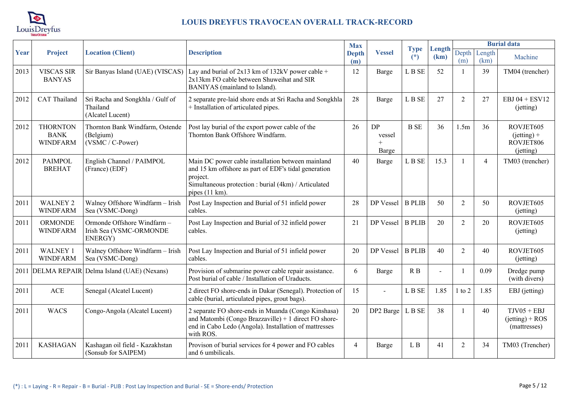

|      |                                                   |                                                                   |                                                                                                                                                                                                 | <b>Max</b>          |                              |                      |                |                |                         | <b>Burial data</b>                                   |
|------|---------------------------------------------------|-------------------------------------------------------------------|-------------------------------------------------------------------------------------------------------------------------------------------------------------------------------------------------|---------------------|------------------------------|----------------------|----------------|----------------|-------------------------|------------------------------------------------------|
| Year | <b>Project</b>                                    | <b>Location (Client)</b>                                          | <b>Description</b>                                                                                                                                                                              | <b>Depth</b><br>(m) | <b>Vessel</b>                | <b>Type</b><br>$(*)$ | Length<br>(km) | Depth<br>(m)   | Length<br>(km)          | Machine                                              |
| 2013 | <b>VISCAS SIR</b><br><b>BANYAS</b>                | Sir Banyas Island (UAE) (VISCAS)                                  | Lay and burial of $2x13$ km of 132kV power cable +<br>2x13km FO cable between Shuweihat and SIR<br>BANIYAS (mainland to Island).                                                                | 12                  | Barge                        | L B SE               | 52             | $\mathbf{1}$   | 39                      | TM04 (trencher)                                      |
| 2012 | <b>CAT</b> Thailand                               | Sri Racha and Songkhla / Gulf of<br>Thailand<br>(Alcatel Lucent)  | 2 separate pre-laid shore ends at Sri Racha and Songkhla<br>+ Installation of articulated pipes.                                                                                                | 28                  | Barge                        | L B SE               | 27             | $\overline{2}$ | 27                      | EBJ $04 + ESV12$<br>(jetting)                        |
| 2012 | <b>THORNTON</b><br><b>BANK</b><br><b>WINDFARM</b> | Thornton Bank Windfarm, Ostende<br>(Belgium)<br>(VSMC / C-Power)  | Post lay burial of the export power cable of the<br>Thornton Bank Offshore Windfarm.                                                                                                            | 26                  | DP<br>vessel<br>$+$<br>Barge | <b>B</b> SE          | 36             | 1.5m           | 36                      | ROVJET605<br>$(jetting) +$<br>ROVJET806<br>(jetting) |
| 2012 | <b>PAIMPOL</b><br><b>BREHAT</b>                   | English Channel / PAIMPOL<br>(France) (EDF)                       | Main DC power cable installation between mainland<br>and 15 km offshore as part of EDF's tidal generation<br>project.<br>Simultaneous protection : burial (4km) / Articulated<br>pipes (11 km). | 40                  | <b>Barge</b>                 | L B SE               | 15.3           |                | $\overline{\mathbf{4}}$ | TM03 (trencher)                                      |
| 2011 | <b>WALNEY 2</b><br><b>WINDFARM</b>                | Walney Offshore Windfarm - Irish<br>Sea (VSMC-Dong)               | Post Lay Inspection and Burial of 51 infield power<br>cables.                                                                                                                                   | 28                  | DP Vessel                    | <b>B PLIB</b>        | 50             | $\overline{2}$ | 50                      | ROVJET605<br>(jetting)                               |
| 2011 | <b>ORMONDE</b><br><b>WINDFARM</b>                 | Ormonde Offshore Windfarm -<br>Irish Sea (VSMC-ORMONDE<br>ENERGY) | Post Lay Inspection and Burial of 32 infield power<br>cables.                                                                                                                                   | 21                  | DP Vessel                    | <b>B</b> PLIB        | 20             | $\overline{2}$ | 20                      | ROVJET605<br>(jetting)                               |
| 2011 | <b>WALNEY 1</b><br><b>WINDFARM</b>                | Walney Offshore Windfarm - Irish<br>Sea (VSMC-Dong)               | Post Lay Inspection and Burial of 51 infield power<br>cables.                                                                                                                                   | 20                  | DP Vessel                    | <b>B PLIB</b>        | 40             | $\overline{2}$ | 40                      | ROVJET605<br>(jetting)                               |
|      |                                                   | 2011 DELMA REPAIR Delma Island (UAE) (Nexans)                     | Provision of submarine power cable repair assistance.<br>Post burial of cable / Installation of Uraducts.                                                                                       | 6                   | Barge                        | R B                  | $\blacksquare$ | $\mathbf{1}$   | 0.09                    | Dredge pump<br>(with divers)                         |
| 2011 | ACE                                               | Senegal (Alcatel Lucent)                                          | 2 direct FO shore-ends in Dakar (Senegal). Protection of<br>cable (burial, articulated pipes, grout bags).                                                                                      | 15                  |                              | L B SE               | 1.85           | $1$ to $2$     | 1.85                    | EBJ (jetting)                                        |
| 2011 | <b>WACS</b>                                       | Congo-Angola (Alcatel Lucent)                                     | 2 separate FO shore-ends in Muanda (Congo Kinshasa)<br>and Matombi (Congo Brazzaville) + 1 direct FO shore-<br>end in Cabo Ledo (Angola). Installation of mattresses<br>with ROS.               | 20                  | DP2 Barge                    | L B SE               | 38             | $\mathbf{1}$   | 40                      | $TJV05 + EBJ$<br>$(jetting) + ROS$<br>(mattresses)   |
| 2011 | <b>KASHAGAN</b>                                   | Kashagan oil field - Kazakhstan<br>(Sonsub for SAIPEM)            | Provison of burial services for 4 power and FO cables<br>and 6 umbilicals.                                                                                                                      | $\overline{4}$      | Barge                        | L B                  | 41             | 2              | 34                      | TM03 (Trencher)                                      |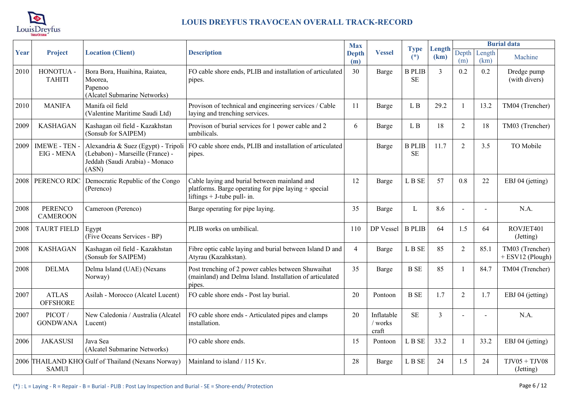

|      |                                         |                                                                                     |                                                                                                                                       | <b>Max</b>          |                                |                            |                |                |                | <b>Burial data</b>                    |
|------|-----------------------------------------|-------------------------------------------------------------------------------------|---------------------------------------------------------------------------------------------------------------------------------------|---------------------|--------------------------------|----------------------------|----------------|----------------|----------------|---------------------------------------|
| Year | Project                                 | <b>Location (Client)</b>                                                            | <b>Description</b>                                                                                                                    | <b>Depth</b><br>(m) | <b>Vessel</b>                  | <b>Type</b><br>$(*)$       | Length<br>(km) | Depth<br>(m)   | Length<br>(km) | Machine                               |
| 2010 | HONOTUA -<br><b>TAHITI</b>              | Bora Bora, Huaihina, Raiatea,<br>Moorea,<br>Papenoo<br>(Alcatel Submarine Networks) | FO cable shore ends, PLIB and installation of articulated<br>pipes.                                                                   | 30                  | Barge                          | <b>B PLIB</b><br><b>SE</b> | $\overline{3}$ | 0.2            | 0.2            | Dredge pump<br>(with divers)          |
| 2010 | <b>MANIFA</b>                           | Manifa oil field<br>(Valentine Maritime Saudi Ltd)                                  | Provison of technical and engineering services / Cable<br>laying and trenching services.                                              | 11                  | Barge                          | L B                        | 29.2           | $\mathbf{1}$   | 13.2           | TM04 (Trencher)                       |
| 2009 | <b>KASHAGAN</b>                         | Kashagan oil field - Kazakhstan<br>(Sonsub for SAIPEM)                              | Provison of burial services for 1 power cable and 2<br>umbilicals.                                                                    | 6                   | Barge                          | L B                        | 18             | $\overline{2}$ | 18             | TM03 (Trencher)                       |
| 2009 | <b>IMEWE - TEN</b><br><b>EIG - MENA</b> | (Lebabon) - Marseille (France) -<br>Jeddah (Saudi Arabia) - Monaco<br>(ASN)         | Alexandria & Suez (Egypt) - Tripoli $ FO$ cable shore ends, PLIB and installation of articulated<br>pipes.                            |                     | Barge                          | <b>B PLIB</b><br><b>SE</b> | 11.7           | $\overline{2}$ | 3.5            | TO Mobile                             |
| 2008 | PERENCO RDC                             | Democratic Republic of the Congo<br>(Perenco)                                       | Cable laying and burial between mainland and<br>platforms. Barge operating for pipe laying + special<br>liftings $+$ J-tube pull- in. | 12                  | Barge                          | L B SE                     | 57             | 0.8            | 22             | EBJ 04 (jetting)                      |
| 2008 | <b>PERENCO</b><br><b>CAMEROON</b>       | Cameroon (Perenco)                                                                  | Barge operating for pipe laying.                                                                                                      | 35                  | Barge                          | L                          | 8.6            |                |                | N.A.                                  |
| 2008 | <b>TAURT FIELD</b>                      | Egypt<br>(Five Oceans Services - BP)                                                | PLIB works on umbilical.                                                                                                              | 110                 | DP Vessel                      | <b>B PLIB</b>              | 64             | 1.5            | 64             | ROVJET401<br>(Jetting)                |
| 2008 | <b>KASHAGAN</b>                         | Kashagan oil field - Kazakhstan<br>(Sonsub for SAIPEM)                              | Fibre optic cable laying and burial between Island D and<br>Atyrau (Kazahkstan).                                                      | $\overline{4}$      | Barge                          | L B SE                     | 85             | $\overline{2}$ | 85.1           | TM03 (Trencher)<br>$+$ ESV12 (Plough) |
| 2008 | <b>DELMA</b>                            | Delma Island (UAE) (Nexans<br>Norway)                                               | Post trenching of 2 power cables between Shuwaihat<br>(mainland) and Delma Island. Installation of articulated<br>pipes.              | 35                  | Barge                          | <b>B</b> SE                | 85             | $\overline{1}$ | 84.7           | TM04 (Trencher)                       |
| 2007 | <b>ATLAS</b><br><b>OFFSHORE</b>         | Asilah - Morocco (Alcatel Lucent)                                                   | FO cable shore ends - Post lay burial.                                                                                                | 20                  | Pontoon                        | <b>B</b> SE                | 1.7            | $\overline{2}$ | 1.7            | EBJ 04 (jetting)                      |
| 2007 | PICOT/<br><b>GONDWANA</b>               | New Caledonia / Australia (Alcatel<br>Lucent)                                       | FO cable shore ends - Articulated pipes and clamps<br>installation.                                                                   | 20                  | Inflatable<br>/ works<br>craft | <b>SE</b>                  | $\overline{3}$ |                |                | N.A.                                  |
| 2006 | <b>JAKASUSI</b>                         | Java Sea<br>(Alcatel Submarine Networks)                                            | FO cable shore ends.                                                                                                                  | 15                  | Pontoon                        | L B SE                     | 33.2           | $\mathbf{1}$   | 33.2           | EBJ 04 (jetting)                      |
|      | <b>SAMUI</b>                            | 2006 THAILAND KHO Gulf of Thailand (Nexans Norway)                                  | Mainland to island / 115 Kv.                                                                                                          | 28                  | Barge                          | L B SE                     | 24             | 1.5            | 24             | $TJV05 + TJV08$<br>(Jetting)          |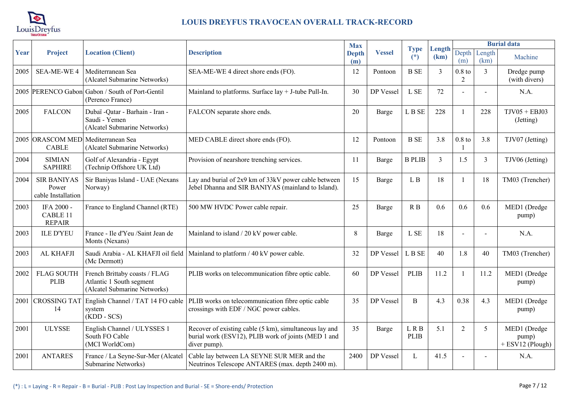

|      |                                                   |                                                                                           |                                                                                                                               | <b>Max</b>          |               |                      |                |                            |                | <b>Burial data</b>                        |
|------|---------------------------------------------------|-------------------------------------------------------------------------------------------|-------------------------------------------------------------------------------------------------------------------------------|---------------------|---------------|----------------------|----------------|----------------------------|----------------|-------------------------------------------|
| Year | <b>Project</b>                                    | <b>Location (Client)</b>                                                                  | <b>Description</b>                                                                                                            | <b>Depth</b><br>(m) | <b>Vessel</b> | <b>Type</b><br>$(*)$ | Length<br>(km) | Depth<br>(m)               | Length<br>(km) | Machine                                   |
| 2005 | <b>SEA-ME-WE4</b>                                 | Mediterranean Sea<br>(Alcatel Submarine Networks)                                         | SEA-ME-WE 4 direct shore ends (FO).                                                                                           | 12                  | Pontoon       | <b>B</b> SE          | 3              | $0.8$ to<br>$\overline{2}$ | $\overline{3}$ | Dredge pump<br>(with divers)              |
|      |                                                   | 2005 PERENCO Gabon Gabon / South of Port-Gentil<br>(Perenco France)                       | Mainland to platforms. Surface $lay + J$ -tube Pull-In.                                                                       | 30                  | DP Vessel     | L SE                 | 72             |                            |                | N.A.                                      |
| 2005 | <b>FALCON</b>                                     | Dubaï - Qatar - Barhain - Iran -<br>Saudi - Yemen<br>(Alcatel Submarine Networks)         | FALCON separate shore ends.                                                                                                   | 20                  | Barge         | L B SE               | 228            |                            | 228            | $TJV05 + EBJ03$<br>(Jetting)              |
|      | <b>CABLE</b>                                      | 2005 ORASCOM MED Mediterranean Sea<br>(Alcatel Submarine Networks)                        | MED CABLE direct shore ends (FO).                                                                                             | 12                  | Pontoon       | <b>B</b> SE          | 3.8            | $0.8$ to                   | 3.8            | TJV07 (Jetting)                           |
| 2004 | <b>SIMIAN</b><br><b>SAPHIRE</b>                   | Golf of Alexandria - Egypt<br>(Technip Offshore UK Ltd)                                   | Provision of nearshore trenching services.                                                                                    | 11                  | Barge         | <b>B PLIB</b>        | $\mathfrak{Z}$ | 1.5                        | 3              | TJV06 (Jetting)                           |
| 2004 | <b>SIR BANIYAS</b><br>Power<br>cable Installation | Sir Baniyas Island - UAE (Nexans<br>Norway)                                               | Lay and burial of 2x9 km of 33kV power cable between<br>Jebel Dhanna and SIR BANIYAS (mainland to Island).                    | 15                  | Barge         | L B                  | 18             | $\mathbf{1}$               | 18             | TM03 (Trencher)                           |
| 2003 | IFA 2000 -<br>CABLE 11<br><b>REPAIR</b>           | France to England Channel (RTE)                                                           | 500 MW HVDC Power cable repair.                                                                                               | 25                  | Barge         | R B                  | 0.6            | 0.6                        | 0.6            | MED1 (Dredge<br>pump)                     |
| 2003 | <b>ILE D'YEU</b>                                  | France - Ile d'Yeu /Saint Jean de<br>Monts (Nexans)                                       | Mainland to island / 20 kV power cable.                                                                                       | 8                   | Barge         | L SE                 | 18             |                            |                | N.A.                                      |
| 2003 | AL KHAFJI                                         | Saudi Arabia - AL KHAFJI oil field<br>(Mc Dermott)                                        | Mainland to platform / 40 kV power cable.                                                                                     | 32                  | DP Vessel     | L B SE               | 40             | 1.8                        | 40             | TM03 (Trencher)                           |
| 2002 | <b>FLAG SOUTH</b><br><b>PLIB</b>                  | French Brittaby coasts / FLAG<br>Atlantic 1 South segment<br>(Alcatel Submarine Networks) | PLIB works on telecommunication fibre optic cable.                                                                            | 60                  | DP Vessel     | <b>PLIB</b>          | 11.2           | $\mathbf{1}$               | 11.2           | MED1 (Dredge<br>pump)                     |
| 2001 | <b>CROSSING TAT</b><br>14                         | English Channel / TAT 14 FO cable<br>system<br>$(KDD - SCS)$                              | PLIB works on telecommunication fibre optic cable<br>crossings with EDF / NGC power cables.                                   | 35                  | DP Vessel     | B                    | 4.3            | 0.38                       | 4.3            | MED1 (Dredge<br>pump)                     |
| 2001 | <b>ULYSSE</b>                                     | English Channel / ULYSSES 1<br>South FO Cable<br>(MCI WorldCom)                           | Recover of existing cable (5 km), simultaneous lay and<br>burial work (ESV12), PLIB work of joints (MED 1 and<br>diver pump). | 35                  | Barge         | LRB<br><b>PLIB</b>   | 5.1            | $\overline{2}$             | 5              | MED1 (Dredge<br>pump)<br>+ ESV12 (Plough) |
| 2001 | <b>ANTARES</b>                                    | France / La Seyne-Sur-Mer (Alcatel<br>Submarine Networks)                                 | Cable lay between LA SEYNE SUR MER and the<br>Neutrinos Telescope ANTARES (max. depth 2400 m).                                | 2400                | DP Vessel     | L                    | 41.5           |                            |                | N.A.                                      |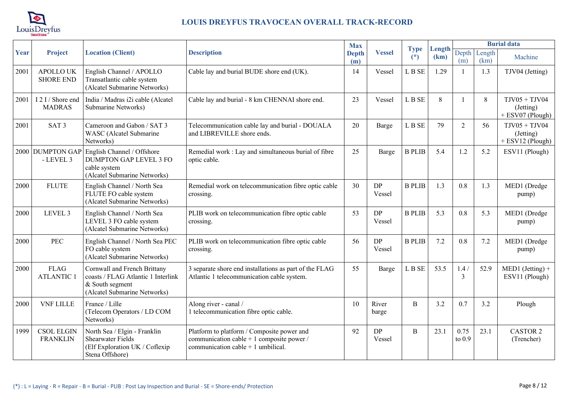

|      |                                      |                                                                                                                       | <b>Max</b><br><b>Type</b><br>Length<br>Depth<br><b>Description</b><br><b>Vessel</b><br><b>Depth</b><br>$(*)$<br>(km)           |     | <b>Burial data</b>  |                |      |                  |                |                                                    |
|------|--------------------------------------|-----------------------------------------------------------------------------------------------------------------------|--------------------------------------------------------------------------------------------------------------------------------|-----|---------------------|----------------|------|------------------|----------------|----------------------------------------------------|
| Year | Project                              | <b>Location (Client)</b>                                                                                              |                                                                                                                                | (m) |                     |                |      | (m)              | Length<br>(km) | Machine                                            |
| 2001 | <b>APOLLO UK</b><br><b>SHORE END</b> | English Channel / APOLLO<br>Transatlantic cable system<br>(Alcatel Submarine Networks)                                | Cable lay and burial BUDE shore end (UK).                                                                                      | 14  | Vessel              | L B SE         | 1.29 | $\overline{1}$   | 1.3            | TJV04 (Jetting)                                    |
| 2001 | I 2 I / Shore end<br><b>MADRAS</b>   | India / Madras i2i cable (Alcatel<br>Submarine Networks)                                                              | Cable lay and burial - 8 km CHENNAI shore end.                                                                                 | 23  | Vessel              | L B SE         | 8    |                  | 8              | $TJV05 + TJV04$<br>(Jetting)<br>$+$ ESV07 (Plough) |
| 2001 | SAT <sub>3</sub>                     | Cameroon and Gabon / SAT 3<br>WASC (Alcatel Submarine<br>Networks)                                                    | Telecommunication cable lay and burial - DOUALA<br>and LIBREVILLE shore ends.                                                  | 20  | Barge               | L B SE         | 79   | $\overline{2}$   | 56             | $TJV05 + TJV04$<br>(Jetting)<br>$+$ ESV12 (Plough) |
|      | 2000 DUMPTON GAP<br>- LEVEL 3        | English Channel / Offshore<br><b>DUMPTON GAP LEVEL 3 FO</b><br>cable system<br>(Alcatel Submarine Networks)           | Remedial work : Lay and simultaneous burial of fibre<br>optic cable.                                                           | 25  | Barge               | <b>B PLIB</b>  | 5.4  | 1.2              | 5.2            | ESV11 (Plough)                                     |
| 2000 | <b>FLUTE</b>                         | English Channel / North Sea<br>FLUTE FO cable system<br>(Alcatel Submarine Networks)                                  | Remedial work on telecommunication fibre optic cable<br>crossing.                                                              | 30  | <b>DP</b><br>Vessel | <b>B PLIB</b>  | 1.3  | 0.8              | 1.3            | MED1 (Dredge<br>pump)                              |
| 2000 | LEVEL 3                              | English Channel / North Sea<br>LEVEL 3 FO cable system<br>(Alcatel Submarine Networks)                                | PLIB work on telecommunication fibre optic cable<br>crossing.                                                                  | 53  | DP<br>Vessel        | <b>B PLIB</b>  | 5.3  | 0.8              | 5.3            | MED1 (Dredge<br>pump)                              |
| 2000 | <b>PEC</b>                           | English Channel / North Sea PEC<br>FO cable system<br>(Alcatel Submarine Networks)                                    | PLIB work on telecommunication fibre optic cable<br>crossing.                                                                  | 56  | <b>DP</b><br>Vessel | <b>B PLIB</b>  | 7.2  | 0.8              | 7.2            | MED1 (Dredge<br>pump)                              |
| 2000 | <b>FLAG</b><br><b>ATLANTIC 1</b>     | Cornwall and French Brittany<br>coasts / FLAG Atlantic 1 Interlink<br>& South segment<br>(Alcatel Submarine Networks) | 3 separate shore end installations as part of the FLAG<br>Atlantic 1 telecommunication cable system.                           | 55  | Barge               | $L$ B $\rm SE$ | 53.5 | 1.4/<br>3        | 52.9           | $MED1 (Jetting) +$<br>ESV11 (Plough)               |
| 2000 | <b>VNF LILLE</b>                     | France / Lille<br>(Telecom Operators / LD COM<br>Networks)                                                            | Along river - canal /<br>1 telecommunication fibre optic cable.                                                                | 10  | River<br>barge      | B              | 3.2  | 0.7              | 3.2            | Plough                                             |
| 1999 | <b>CSOL ELGIN</b><br><b>FRANKLIN</b> | North Sea / Elgin - Franklin<br><b>Shearwater Fields</b><br>(Elf Exploration UK / Coflexip<br>Stena Offshore)         | Platform to platform / Composite power and<br>communication cable + 1 composite power /<br>communication cable $+1$ umbilical. | 92  | <b>DP</b><br>Vessel | B              | 23.1 | 0.75<br>to $0.9$ | 23.1           | <b>CASTOR 2</b><br>(Trencher)                      |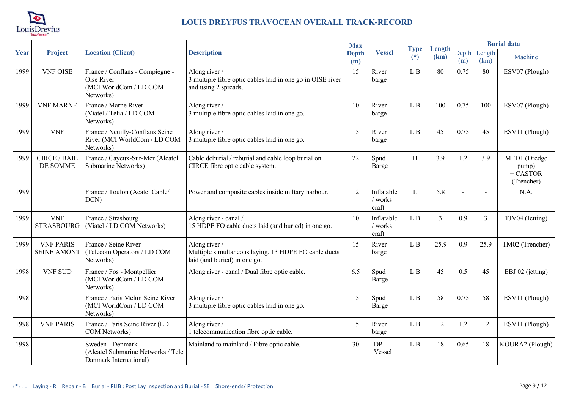

|      |                                        |                                                                                             |                                                                                                       | <b>Max</b>          |                                |                      |                |              |                | <b>Burial data</b>                                |
|------|----------------------------------------|---------------------------------------------------------------------------------------------|-------------------------------------------------------------------------------------------------------|---------------------|--------------------------------|----------------------|----------------|--------------|----------------|---------------------------------------------------|
| Year | Project                                | <b>Location (Client)</b>                                                                    | <b>Description</b>                                                                                    | <b>Depth</b><br>(m) | <b>Vessel</b>                  | <b>Type</b><br>$(*)$ | Length<br>(km) | Depth<br>(m) | Length<br>(km) | Machine                                           |
| 1999 | <b>VNF OISE</b>                        | France / Conflans - Compiegne -<br><b>Oise River</b><br>(MCI WorldCom / LD COM<br>Networks) | Along river /<br>3 multiple fibre optic cables laid in one go in OISE river<br>and using 2 spreads.   | 15                  | River<br>barge                 | L B                  | 80             | 0.75         | 80             | ESV07 (Plough)                                    |
| 1999 | <b>VNF MARNE</b>                       | France / Marne River<br>(Viatel / Telia / LD COM<br>Networks)                               | Along river /<br>3 multiple fibre optic cables laid in one go.                                        | 10                  | River<br>barge                 | L B                  | 100            | 0.75         | 100            | ESV07 (Plough)                                    |
| 1999 | <b>VNF</b>                             | France / Neuilly-Conflans Seine<br>River (MCI WorldCom / LD COM<br>Networks)                | Along river /<br>3 multiple fibre optic cables laid in one go.                                        | 15                  | River<br>barge                 | L B                  | 45             | 0.75         | 45             | ESV11 (Plough)                                    |
| 1999 | <b>CIRCE / BAIE</b><br>DE SOMME        | France / Cayeux-Sur-Mer (Alcatel<br>Submarine Networks)                                     | Cable deburial / reburial and cable loop burial on<br>CIRCE fibre optic cable system.                 | 22                  | Spud<br>Barge                  | B                    | 3.9            | 1.2          | 3.9            | MED1 (Dredge<br>pump)<br>$+$ CASTOR<br>(Trencher) |
| 1999 |                                        | France / Toulon (Acatel Cable/<br>DCN)                                                      | Power and composite cables inside miltary harbour.                                                    | 12                  | Inflatable<br>/ works<br>craft | L                    | 5.8            |              |                | N.A.                                              |
| 1999 | <b>VNF</b><br><b>STRASBOURG</b>        | France / Strasbourg<br>(Viatel / LD COM Networks)                                           | Along river - canal /<br>15 HDPE FO cable ducts laid (and buried) in one go.                          | 10                  | Inflatable<br>/ works<br>craft | L B                  | $\overline{3}$ | 0.9          | 3              | TJV04 (Jetting)                                   |
| 1999 | <b>VNF PARIS</b><br><b>SEINE AMONT</b> | France / Seine River<br>(Telecom Operators / LD COM<br>Networks)                            | Along river /<br>Multiple simultaneous laying. 13 HDPE FO cable ducts<br>laid (and buried) in one go. | 15                  | River<br>barge                 | L B                  | 25.9           | 0.9          | 25.9           | TM02 (Trencher)                                   |
| 1998 | <b>VNF SUD</b>                         | France / Fos - Montpellier<br>(MCI WorldCom / LD COM<br>Networks)                           | Along river - canal / Dual fibre optic cable.                                                         | 6.5                 | Spud<br>Barge                  | L B                  | 45             | 0.5          | 45             | EBJ 02 (jetting)                                  |
| 1998 |                                        | France / Paris Melun Seine River<br>(MCI WorldCom / LD COM<br>Networks)                     | Along river /<br>3 multiple fibre optic cables laid in one go.                                        | 15                  | Spud<br>Barge                  | L B                  | 58             | 0.75         | 58             | ESV11 (Plough)                                    |
| 1998 | <b>VNF PARIS</b>                       | France / Paris Seine River (LD<br>COM Networks)                                             | Along river /<br>1 telecommunication fibre optic cable.                                               | 15                  | River<br>barge                 | L B                  | 12             | 1.2          | 12             | ESV11 (Plough)                                    |
| 1998 |                                        | Sweden - Denmark<br>(Alcatel Submarine Networks / Tele<br>Danmark International)            | Mainland to mainland / Fibre optic cable.                                                             | 30                  | <b>DP</b><br>Vessel            | L B                  | 18             | 0.65         | 18             | KOURA2 (Plough)                                   |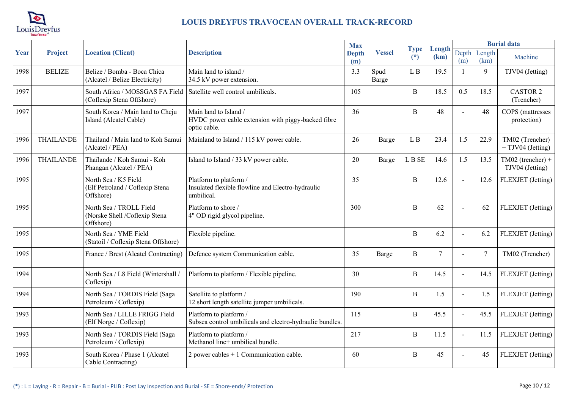

|      |                  |                                                                       |                                                                                             | <b>Max</b>          |               |                      |                |                |                | <b>Burial data</b>                   |
|------|------------------|-----------------------------------------------------------------------|---------------------------------------------------------------------------------------------|---------------------|---------------|----------------------|----------------|----------------|----------------|--------------------------------------|
| Year | <b>Project</b>   | <b>Location (Client)</b>                                              | <b>Description</b>                                                                          | <b>Depth</b><br>(m) | <b>Vessel</b> | <b>Type</b><br>$(*)$ | Length<br>(km) | Depth<br>(m)   | Length<br>(km) | Machine                              |
| 1998 | <b>BELIZE</b>    | Belize / Bomba - Boca Chica<br>(Alcatel / Belize Electricity)         | Main land to island /<br>34.5 kV power extension.                                           | 3.3                 | Spud<br>Barge | L B                  | 19.5           |                | 9              | TJV04 (Jetting)                      |
| 1997 |                  | South Africa / MOSSGAS FA Field<br>(Coflexip Stena Offshore)          | Satellite well control umbilicals.                                                          | 105                 |               | B                    | 18.5           | 0.5            | 18.5           | <b>CASTOR 2</b><br>(Trencher)        |
| 1997 |                  | South Korea / Main land to Cheju<br>Island (Alcatel Cable)            | Main land to Island /<br>HVDC power cable extension with piggy-backed fibre<br>optic cable. | 36                  |               | B                    | 48             |                | 48             | COPS (mattresses<br>protection)      |
| 1996 | <b>THAILANDE</b> | Thailand / Main land to Koh Samui<br>(Alcatel / PEA)                  | Mainland to Island / 115 kV power cable.                                                    | 26                  | <b>Barge</b>  | L B                  | 23.4           | 1.5            | 22.9           | TM02 (Trencher)<br>+ TJV04 (Jetting) |
| 1996 | <b>THAILANDE</b> | Thaïlande / Koh Samui - Koh<br>Phangan (Alcatel / PEA)                | Island to Island / 33 kV power cable.                                                       | 20                  | Barge         | L B SE               | 14.6           | 1.5            | 13.5           | TM02 (trencher) +<br>TJV04 (Jetting) |
| 1995 |                  | North Sea / K5 Field<br>(Elf Petroland / Coflexip Stena<br>Offshore)  | Platform to platform /<br>Insulated flexible flowline and Electro-hydraulic<br>umbilical.   | 35                  |               | B                    | 12.6           |                | 12.6           | FLEXJET (Jetting)                    |
| 1995 |                  | North Sea / TROLL Field<br>(Norske Shell /Coflexip Stena<br>Offshore) | Platform to shore /<br>4" OD rigid glycol pipeline.                                         | 300                 |               | B                    | 62             | $\overline{a}$ | 62             | FLEXJET (Jetting)                    |
| 1995 |                  | North Sea / YME Field<br>(Statoil / Coflexip Stena Offshore)          | Flexible pipeline.                                                                          |                     |               | B                    | 6.2            | $\overline{a}$ | 6.2            | FLEXJET (Jetting)                    |
| 1995 |                  | France / Brest (Alcatel Contracting)                                  | Defence system Communication cable.                                                         | 35                  | Barge         | B                    | $\overline{7}$ | $\blacksquare$ | $\overline{7}$ | TM02 (Trencher)                      |
| 1994 |                  | North Sea / L8 Field (Wintershall /<br>Coflexip)                      | Platform to platform / Flexible pipeline.                                                   | 30                  |               | B                    | 14.5           | $\blacksquare$ | 14.5           | FLEXJET (Jetting)                    |
| 1994 |                  | North Sea / TORDIS Field (Saga<br>Petroleum / Coflexip)               | Satellite to platform /<br>12 short length satellite jumper umbilicals.                     | 190                 |               | $\, {\bf B}$         | 1.5            |                | 1.5            | FLEXJET (Jetting)                    |
| 1993 |                  | North Sea / LILLE FRIGG Field<br>(Elf Norge / Coflexip)               | Platform to platform /<br>Subsea control umbilicals and electro-hydraulic bundles.          | 115                 |               | $\, {\bf B}$         | 45.5           | $\blacksquare$ | 45.5           | FLEXJET (Jetting)                    |
| 1993 |                  | North Sea / TORDIS Field (Saga<br>Petroleum / Coflexip)               | Platform to platform /<br>Methanol line+ umbilical bundle.                                  | 217                 |               | B                    | 11.5           | $\blacksquare$ | 11.5           | FLEXJET (Jetting)                    |
| 1993 |                  | South Korea / Phase 1 (Alcatel<br>Cable Contracting)                  | 2 power cables $+1$ Communication cable.                                                    | 60                  |               | $\overline{B}$       | 45             | $\overline{a}$ | 45             | FLEXJET (Jetting)                    |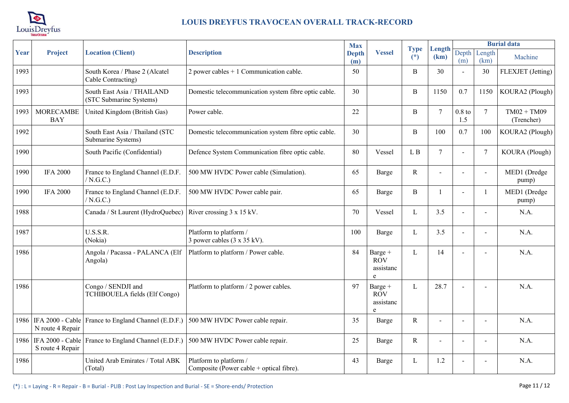

|      |                                |                                                                                                |                                                                    | <b>Max</b>          |                                         |                      |                |                 |                          | <b>Burial data</b>          |
|------|--------------------------------|------------------------------------------------------------------------------------------------|--------------------------------------------------------------------|---------------------|-----------------------------------------|----------------------|----------------|-----------------|--------------------------|-----------------------------|
| Year | Project                        | <b>Location (Client)</b>                                                                       | <b>Description</b>                                                 | <b>Depth</b><br>(m) | <b>Vessel</b>                           | <b>Type</b><br>$(*)$ | Length<br>(km) | (m)             | Depth Length<br>(km)     | Machine                     |
| 1993 |                                | South Korea / Phase 2 (Alcatel<br>Cable Contracting)                                           | 2 power cables $+1$ Communication cable.                           | 50                  |                                         | $\, {\bf B}$         | 30             |                 | 30                       | FLEXJET (Jetting)           |
| 1993 |                                | South East Asia / THAILAND<br>(STC Submarine Systems)                                          | Domestic telecommunication system fibre optic cable.               | 30                  |                                         | $\, {\bf B}$         | 1150           | 0.7             | 1150                     | KOURA2 (Plough)             |
| 1993 | <b>MORECAMBE</b><br><b>BAY</b> | United Kingdom (British Gas)                                                                   | Power cable.                                                       | 22                  |                                         | $\, {\bf B}$         | $\tau$         | $0.8$ to<br>1.5 | $7\phantom{.0}$          | $TM02 + TM09$<br>(Trencher) |
| 1992 |                                | South East Asia / Thailand (STC<br>Submarine Systems)                                          | Domestic telecommunication system fibre optic cable.               | 30                  |                                         | $\, {\bf B}$         | 100            | 0.7             | 100                      | KOURA2 (Plough)             |
| 1990 |                                | South Pacific (Confidential)                                                                   | Defence System Communication fibre optic cable.                    | 80                  | Vessel                                  | L B                  | $\tau$         |                 | $7\phantom{.0}$          | KOURA (Plough)              |
| 1990 | <b>IFA 2000</b>                | France to England Channel (E.D.F.<br>/ N.G.C.)                                                 | 500 MW HVDC Power cable (Simulation).                              | 65                  | Barge                                   | $\mathbf R$          |                | $\sim$          | $\blacksquare$           | MED1 (Dredge<br>pump)       |
| 1990 | <b>IFA 2000</b>                | France to England Channel (E.D.F.<br>/ N.G.C.)                                                 | 500 MW HVDC Power cable pair.                                      | 65                  | <b>Barge</b>                            | B                    |                |                 | $\mathbf{1}$             | MED1 (Dredge<br>pump)       |
| 1988 |                                | Canada / St Laurent (HydroQuebec) River crossing 3 x 15 kV.                                    |                                                                    | 70                  | Vessel                                  | L                    | 3.5            |                 | $\overline{\phantom{a}}$ | N.A.                        |
| 1987 |                                | U.S.S.R.<br>(Nokia)                                                                            | Platform to platform /<br>3 power cables (3 x 35 kV).              | 100                 | Barge                                   | L                    | 3.5            | $\sim$          | $\overline{a}$           | N.A.                        |
| 1986 |                                | Angola / Pacassa - PALANCA (Elf<br>Angola)                                                     | Platform to platform / Power cable.                                | 84                  | Barge +<br><b>ROV</b><br>assistanc<br>e | L                    | 14             |                 |                          | N.A.                        |
| 1986 |                                | Congo / SENDJI and<br>TCHIBOUELA fields (Elf Congo)                                            | Platform to platform / 2 power cables.                             | 97                  | Barge +<br><b>ROV</b><br>assistanc<br>e | L                    | 28.7           |                 | $\overline{\phantom{0}}$ | N.A.                        |
|      | N route 4 Repair               | 1986 IFA 2000 - Cable France to England Channel (E.D.F.) 500 MW HVDC Power cable repair.       |                                                                    | 35                  | Barge                                   | $\mathbb{R}$         |                |                 |                          | N.A.                        |
|      | S route 4 Repair               | 1986   IFA 2000 - Cable   France to England Channel (E.D.F.)   500 MW HVDC Power cable repair. |                                                                    | 25                  | Barge                                   | $\mathbb R$          |                |                 | $\overline{a}$           | N.A.                        |
| 1986 |                                | United Arab Emirates / Total ABK<br>(Total)                                                    | Platform to platform /<br>Composite (Power cable + optical fibre). | 43                  | Barge                                   | L                    | 1.2            |                 |                          | N.A.                        |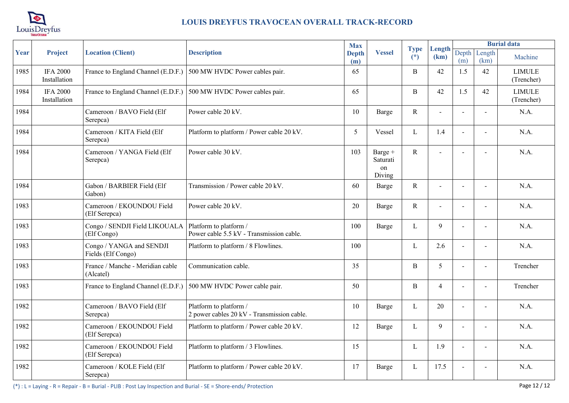

|      |                                 |                                                                   |                                                                      | <b>Max</b>          |                                     |                      |                |                |                          | <b>Burial data</b>          |
|------|---------------------------------|-------------------------------------------------------------------|----------------------------------------------------------------------|---------------------|-------------------------------------|----------------------|----------------|----------------|--------------------------|-----------------------------|
| Year | <b>Project</b>                  | <b>Location (Client)</b>                                          | <b>Description</b>                                                   | <b>Depth</b><br>(m) | <b>Vessel</b>                       | <b>Type</b><br>$(*)$ | Length<br>(km) | Depth<br>(m)   | Length<br>(km)           | Machine                     |
| 1985 | <b>IFA 2000</b><br>Installation | France to England Channel (E.D.F.) 500 MW HVDC Power cables pair. |                                                                      | 65                  |                                     | B                    | 42             | 1.5            | 42                       | <b>LIMULE</b><br>(Trencher) |
| 1984 | <b>IFA 2000</b><br>Installation | France to England Channel (E.D.F.) 500 MW HVDC Power cables pair. |                                                                      | 65                  |                                     | B                    | 42             | 1.5            | 42                       | <b>LIMULE</b><br>(Trencher) |
| 1984 |                                 | Cameroon / BAVO Field (Elf<br>Serepca)                            | Power cable 20 kV.                                                   | 10                  | Barge                               | $\mathbf R$          |                |                | $\blacksquare$           | N.A.                        |
| 1984 |                                 | Cameroon / KITA Field (Elf<br>Serepca)                            | Platform to platform / Power cable 20 kV.                            | 5                   | Vessel                              | L                    | 1.4            | $\blacksquare$ | $\blacksquare$           | N.A.                        |
| 1984 |                                 | Cameroon / YANGA Field (Elf<br>Serepca)                           | Power cable 30 kV.                                                   | 103                 | Barge +<br>Saturati<br>on<br>Diving | $\mathbf R$          | $\blacksquare$ | $\sim$         | $\blacksquare$           | N.A.                        |
| 1984 |                                 | Gabon / BARBIER Field (Elf<br>Gabon)                              | Transmission / Power cable 20 kV.                                    | 60                  | Barge                               | ${\bf R}$            |                |                | $\overline{\phantom{a}}$ | N.A.                        |
| 1983 |                                 | Cameroon / EKOUNDOU Field<br>(Elf Serepca)                        | Power cable 20 kV.                                                   | 20                  | Barge                               | R                    |                | $\blacksquare$ | $\blacksquare$           | N.A.                        |
| 1983 |                                 | Congo / SENDJI Field LIKOUALA<br>(Elf Congo)                      | Platform to platform /<br>Power cable 5.5 kV - Transmission cable.   | 100                 | Barge                               | L                    | 9              |                |                          | N.A.                        |
| 1983 |                                 | Congo / YANGA and SENDJI<br>Fields (Elf Congo)                    | Platform to platform / 8 Flowlines.                                  | 100                 |                                     | L                    | 2.6            | $\sim$         | $\overline{a}$           | N.A.                        |
| 1983 |                                 | France / Manche - Meridian cable<br>(Alcatel)                     | Communication cable.                                                 | 35                  |                                     | B                    | 5              |                | $\overline{\phantom{a}}$ | Trencher                    |
| 1983 |                                 | France to England Channel (E.D.F.) 500 MW HVDC Power cable pair.  |                                                                      | 50                  |                                     | B                    | $\overline{4}$ | $\sim$         | $\blacksquare$           | Trencher                    |
| 1982 |                                 | Cameroon / BAVO Field (Elf<br>Serepca)                            | Platform to platform /<br>2 power cables 20 kV - Transmission cable. | 10                  | Barge                               | L                    | 20             | $\sim$         | $\overline{a}$           | N.A.                        |
| 1982 |                                 | Cameroon / EKOUNDOU Field<br>(Elf Serepca)                        | Platform to platform / Power cable 20 kV.                            | 12                  | Barge                               | L                    | 9              |                |                          | N.A.                        |
| 1982 |                                 | Cameroon / EKOUNDOU Field<br>(Elf Serepca)                        | Platform to platform / 3 Flowlines.                                  | 15                  |                                     | L                    | 1.9            | $\blacksquare$ | $\blacksquare$           | N.A.                        |
| 1982 |                                 | Cameroon / KOLE Field (Elf<br>Serepca)                            | Platform to platform / Power cable 20 kV.                            | 17                  | Barge                               | L                    | 17.5           |                |                          | N.A.                        |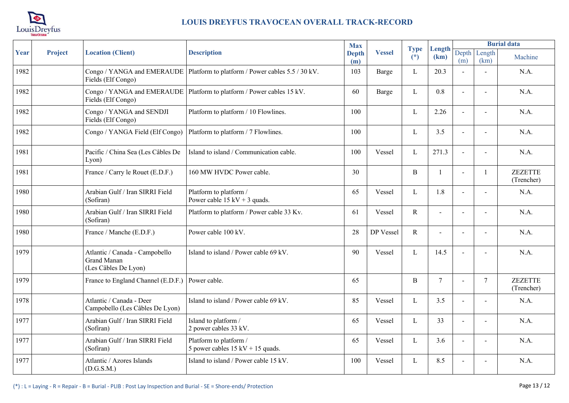

| Year | Project | <b>Location (Client)</b>                                                     | <b>Description</b>                                                           | <b>Max</b>          | <b>Vessel</b> | <b>Type</b><br>$(*)$ |                | <b>Burial data</b> |                          |                              |
|------|---------|------------------------------------------------------------------------------|------------------------------------------------------------------------------|---------------------|---------------|----------------------|----------------|--------------------|--------------------------|------------------------------|
|      |         |                                                                              |                                                                              | <b>Depth</b><br>(m) |               |                      | Length<br>(km) | (m)                | Depth Length<br>(km)     | Machine                      |
| 1982 |         | Congo / YANGA and EMERAUDE<br>Fields (Elf Congo)                             | Platform to platform / Power cables 5.5 / 30 kV.                             | 103                 | Barge         | L                    | 20.3           |                    | $\overline{\phantom{a}}$ | N.A.                         |
| 1982 |         | Congo / YANGA and EMERAUDE<br>Fields (Elf Congo)                             | Platform to platform / Power cables 15 kV.                                   | 60                  | Barge         | L                    | 0.8            | $\blacksquare$     | $\blacksquare$           | N.A.                         |
| 1982 |         | Congo / YANGA and SENDJI<br>Fields (Elf Congo)                               | Platform to platform / 10 Flowlines.                                         | 100                 |               | L                    | 2.26           | $\blacksquare$     | $\blacksquare$           | N.A.                         |
| 1982 |         | Congo / YANGA Field (Elf Congo)                                              | Platform to platform / 7 Flowlines.                                          | 100                 |               | L                    | 3.5            | $\sim$             | $\blacksquare$           | N.A.                         |
| 1981 |         | Pacific / China Sea (Les Câbles De<br>Lyon)                                  | Island to island / Communication cable.                                      | 100                 | Vessel        | L                    | 271.3          | $\blacksquare$     | $\blacksquare$           | N.A.                         |
| 1981 |         | France / Carry le Rouet (E.D.F.)                                             | 160 MW HVDC Power cable.                                                     | 30                  |               | $\mathbf{B}$         |                | $\blacksquare$     | $\mathbf{1}$             | <b>ZEZETTE</b><br>(Trencher) |
| 1980 |         | Arabian Gulf / Iran SIRRI Field<br>(Sofiran)                                 | Platform to platform /<br>Power cable $15 \text{ kV} + 3$ quads.             | 65                  | Vessel        | L                    | 1.8            | $\blacksquare$     | $\overline{\phantom{a}}$ | N.A.                         |
| 1980 |         | Arabian Gulf / Iran SIRRI Field<br>(Sofiran)                                 | Platform to platform / Power cable 33 Kv.                                    | 61                  | Vessel        | $\mathbb{R}$         | $\overline{a}$ |                    | $\overline{a}$           | N.A.                         |
| 1980 |         | France / Manche (E.D.F.)                                                     | Power cable 100 kV.                                                          | 28                  | DP Vessel     | $\mathbf R$          | $\sim$         | $\blacksquare$     | $\blacksquare$           | N.A.                         |
| 1979 |         | Atlantic / Canada - Campobello<br><b>Grand Manan</b><br>(Les Câbles De Lyon) | Island to island / Power cable 69 kV.                                        | 90                  | Vessel        | L                    | 14.5           |                    | $\overline{\phantom{0}}$ | N.A.                         |
| 1979 |         | France to England Channel (E.D.F.)                                           | Power cable.                                                                 | 65                  |               | B                    | $\tau$         |                    | $\overline{7}$           | <b>ZEZETTE</b><br>(Trencher) |
| 1978 |         | Atlantic / Canada - Deer<br>Campobello (Les Câbles De Lyon)                  | Island to island / Power cable 69 kV.                                        | 85                  | Vessel        | L                    | 3.5            | $\blacksquare$     | $\sim$                   | N.A.                         |
| 1977 |         | Arabian Gulf / Iran SIRRI Field<br>(Sofiran)                                 | Island to platform /<br>2 power cables 33 kV.                                | 65                  | Vessel        | L                    | 33             | $\blacksquare$     | $\overline{\phantom{0}}$ | N.A.                         |
| 1977 |         | Arabian Gulf / Iran SIRRI Field<br>(Sofiran)                                 | Platform to platform /<br>5 power cables $15 \text{ kV} + 15 \text{ quads}.$ | 65                  | Vessel        | L                    | 3.6            |                    | $\overline{\phantom{a}}$ | N.A.                         |
| 1977 |         | Atlantic / Azores Islands<br>(D.G.S.M.)                                      | Island to island / Power cable 15 kV.                                        | 100                 | Vessel        | L                    | 8.5            |                    |                          | N.A.                         |